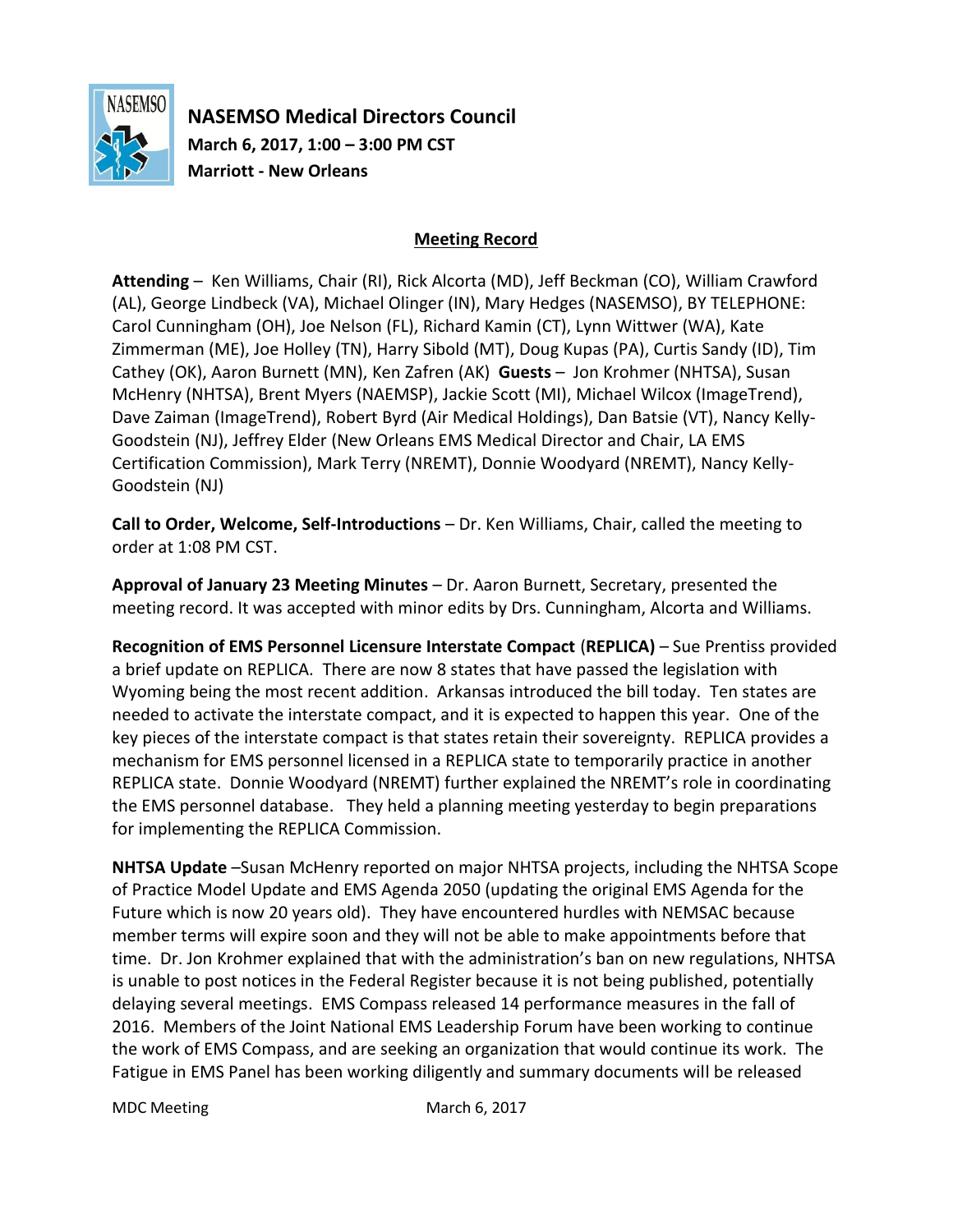

**NASEMSO Medical Directors Council March 6, 2017, 1:00 – 3:00 PM CST Marriott - New Orleans**

## **Meeting Record**

**Attending** – Ken Williams, Chair (RI), Rick Alcorta (MD), Jeff Beckman (CO), William Crawford (AL), George Lindbeck (VA), Michael Olinger (IN), Mary Hedges (NASEMSO), BY TELEPHONE: Carol Cunningham (OH), Joe Nelson (FL), Richard Kamin (CT), Lynn Wittwer (WA), Kate Zimmerman (ME), Joe Holley (TN), Harry Sibold (MT), Doug Kupas (PA), Curtis Sandy (ID), Tim Cathey (OK), Aaron Burnett (MN), Ken Zafren (AK) **Guests** – Jon Krohmer (NHTSA), Susan McHenry (NHTSA), Brent Myers (NAEMSP), Jackie Scott (MI), Michael Wilcox (ImageTrend), Dave Zaiman (ImageTrend), Robert Byrd (Air Medical Holdings), Dan Batsie (VT), Nancy Kelly-Goodstein (NJ), Jeffrey Elder (New Orleans EMS Medical Director and Chair, LA EMS Certification Commission), Mark Terry (NREMT), Donnie Woodyard (NREMT), Nancy Kelly-Goodstein (NJ)

**Call to Order, Welcome, Self-Introductions** – Dr. Ken Williams, Chair, called the meeting to order at 1:08 PM CST.

**Approval of January 23 Meeting Minutes** – Dr. Aaron Burnett, Secretary, presented the meeting record. It was accepted with minor edits by Drs. Cunningham, Alcorta and Williams.

**Recognition of EMS Personnel Licensure Interstate Compact** (**REPLICA)** – Sue Prentiss provided a brief update on REPLICA. There are now 8 states that have passed the legislation with Wyoming being the most recent addition. Arkansas introduced the bill today. Ten states are needed to activate the interstate compact, and it is expected to happen this year. One of the key pieces of the interstate compact is that states retain their sovereignty. REPLICA provides a mechanism for EMS personnel licensed in a REPLICA state to temporarily practice in another REPLICA state. Donnie Woodyard (NREMT) further explained the NREMT's role in coordinating the EMS personnel database. They held a planning meeting yesterday to begin preparations for implementing the REPLICA Commission.

**NHTSA Update** –Susan McHenry reported on major NHTSA projects, including the NHTSA Scope of Practice Model Update and EMS Agenda 2050 (updating the original EMS Agenda for the Future which is now 20 years old). They have encountered hurdles with NEMSAC because member terms will expire soon and they will not be able to make appointments before that time. Dr. Jon Krohmer explained that with the administration's ban on new regulations, NHTSA is unable to post notices in the Federal Register because it is not being published, potentially delaying several meetings. EMS Compass released 14 performance measures in the fall of 2016. Members of the Joint National EMS Leadership Forum have been working to continue the work of EMS Compass, and are seeking an organization that would continue its work. The Fatigue in EMS Panel has been working diligently and summary documents will be released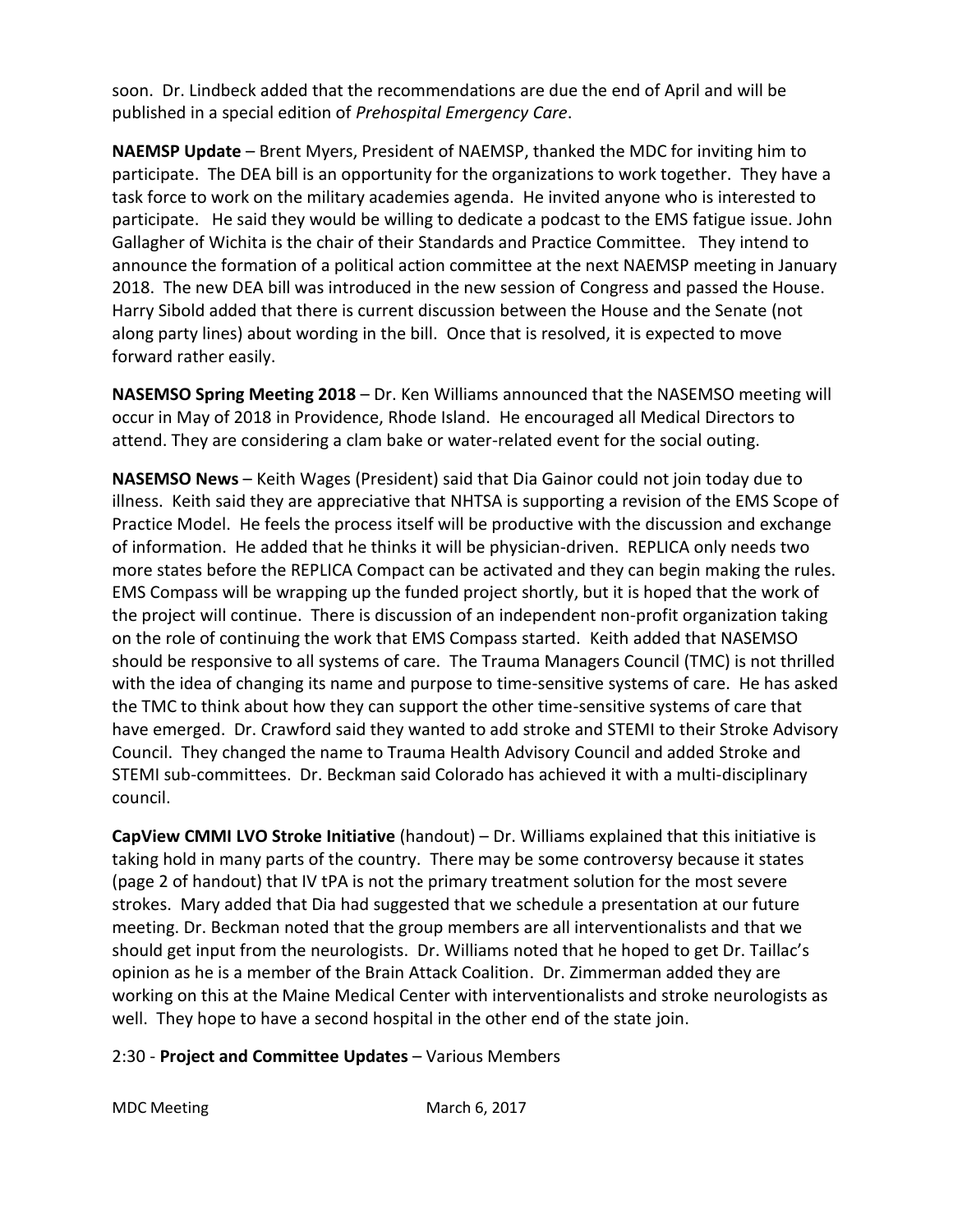soon. Dr. Lindbeck added that the recommendations are due the end of April and will be published in a special edition of *Prehospital Emergency Care*.

**NAEMSP Update** – Brent Myers, President of NAEMSP, thanked the MDC for inviting him to participate. The DEA bill is an opportunity for the organizations to work together. They have a task force to work on the military academies agenda. He invited anyone who is interested to participate. He said they would be willing to dedicate a podcast to the EMS fatigue issue. John Gallagher of Wichita is the chair of their Standards and Practice Committee. They intend to announce the formation of a political action committee at the next NAEMSP meeting in January 2018. The new DEA bill was introduced in the new session of Congress and passed the House. Harry Sibold added that there is current discussion between the House and the Senate (not along party lines) about wording in the bill. Once that is resolved, it is expected to move forward rather easily.

**NASEMSO Spring Meeting 2018** – Dr. Ken Williams announced that the NASEMSO meeting will occur in May of 2018 in Providence, Rhode Island. He encouraged all Medical Directors to attend. They are considering a clam bake or water-related event for the social outing.

**NASEMSO News** – Keith Wages (President) said that Dia Gainor could not join today due to illness. Keith said they are appreciative that NHTSA is supporting a revision of the EMS Scope of Practice Model. He feels the process itself will be productive with the discussion and exchange of information. He added that he thinks it will be physician-driven. REPLICA only needs two more states before the REPLICA Compact can be activated and they can begin making the rules. EMS Compass will be wrapping up the funded project shortly, but it is hoped that the work of the project will continue. There is discussion of an independent non-profit organization taking on the role of continuing the work that EMS Compass started. Keith added that NASEMSO should be responsive to all systems of care. The Trauma Managers Council (TMC) is not thrilled with the idea of changing its name and purpose to time-sensitive systems of care. He has asked the TMC to think about how they can support the other time-sensitive systems of care that have emerged. Dr. Crawford said they wanted to add stroke and STEMI to their Stroke Advisory Council. They changed the name to Trauma Health Advisory Council and added Stroke and STEMI sub-committees. Dr. Beckman said Colorado has achieved it with a multi-disciplinary council.

**CapView CMMI LVO Stroke Initiative** (handout) – Dr. Williams explained that this initiative is taking hold in many parts of the country. There may be some controversy because it states (page 2 of handout) that IV tPA is not the primary treatment solution for the most severe strokes. Mary added that Dia had suggested that we schedule a presentation at our future meeting. Dr. Beckman noted that the group members are all interventionalists and that we should get input from the neurologists. Dr. Williams noted that he hoped to get Dr. Taillac's opinion as he is a member of the Brain Attack Coalition. Dr. Zimmerman added they are working on this at the Maine Medical Center with interventionalists and stroke neurologists as well. They hope to have a second hospital in the other end of the state join.

2:30 - **Project and Committee Updates** – Various Members